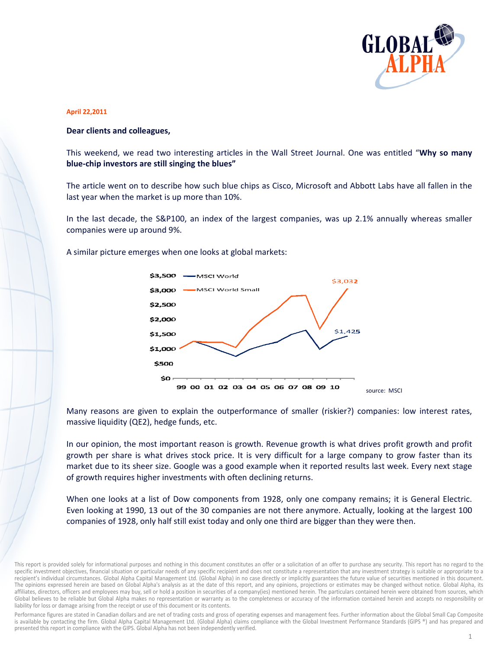

## **April 22,2011**

## Dear clients and colleagues,

This weekend, we read two interesting articles in the Wall Street Journal. One was entitled "Why so many blue-chip investors are still singing the blues"

The article went on to describe how such blue chips as Cisco, Microsoft and Abbott Labs have all fallen in the last year when the market is up more than 10%.

In the last decade, the S&P100, an index of the largest companies, was up 2.1% annually whereas smaller companies were up around 9%.

A similar picture emerges when one looks at global markets:



Many reasons are given to explain the outperformance of smaller (riskier?) companies: low interest rates, massive liquidity (QE2), hedge funds, etc.

In our opinion, the most important reason is growth. Revenue growth is what drives profit growth and profit growth per share is what drives stock price. It is very difficult for a large company to grow faster than its market due to its sheer size. Google was a good example when it reported results last week. Every next stage of growth requires higher investments with often declining returns.

When one looks at a list of Dow components from 1928, only one company remains; it is General Electric. Even looking at 1990, 13 out of the 30 companies are not there anymore. Actually, looking at the largest 100 companies of 1928, only half still exist today and only one third are bigger than they were then.

Performance figures are stated in Canadian dollars and are net of trading costs and gross of operating expenses and management fees. Further information about the Global Small Cap Composite is available by contacting the firm. Global Alpha Capital Management Ltd. (Global Alpha) claims compliance with the Global Investment Performance Standards (GIPS ®) and has prepared and presented this report in compliance with the GIPS. Global Alpha has not been independently verified.

This report is provided solely for informational purposes and nothing in this document constitutes an offer or a solicitation of an offer to purchase any security. This report has no regard to the specific investment objectives, financial situation or particular needs of any specific recipient and does not constitute a representation that any investment strategy is suitable or appropriate to a recipient's individual circumstances. Global Alpha Capital Management Ltd. (Global Alpha) in no case directly or implicitly guarantees the future value of securities mentioned in this document. The opinions expressed herein are based on Global Alpha's analysis as at the date of this report, and any opinions, projections or estimates may be changed without notice. Global Alpha, its affiliates, directors, officers and employees may buy, sell or hold a position in securities of a company(ies) mentioned herein. The particulars contained herein were obtained from sources, which Global believes to be reliable but Global Alpha makes no representation or warranty as to the completeness or accuracy of the information contained herein and accepts no responsibility or liability for loss or damage arising from the receipt or use of this document or its contents.